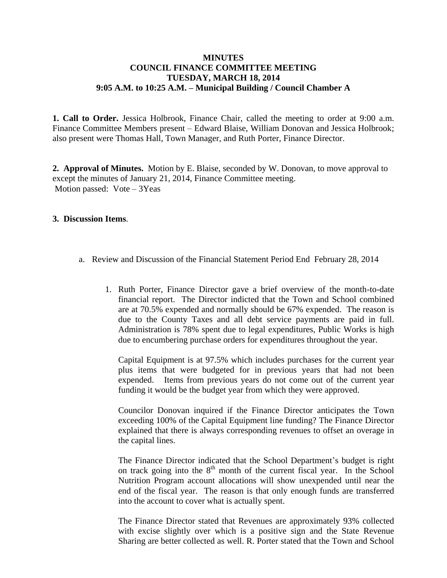## **MINUTES COUNCIL FINANCE COMMITTEE MEETING TUESDAY, MARCH 18, 2014 9:05 A.M. to 10:25 A.M. – Municipal Building / Council Chamber A**

**1. Call to Order.** Jessica Holbrook, Finance Chair, called the meeting to order at 9:00 a.m. Finance Committee Members present – Edward Blaise, William Donovan and Jessica Holbrook; also present were Thomas Hall, Town Manager, and Ruth Porter, Finance Director.

**2. Approval of Minutes.** Motion by E. Blaise, seconded by W. Donovan, to move approval to except the minutes of January 21, 2014, Finance Committee meeting. Motion passed: Vote – 3Yeas

## **3. Discussion Items**.

- a. Review and Discussion of the Financial Statement Period End February 28, 2014
	- 1. Ruth Porter, Finance Director gave a brief overview of the month-to-date financial report. The Director indicted that the Town and School combined are at 70.5% expended and normally should be 67% expended. The reason is due to the County Taxes and all debt service payments are paid in full. Administration is 78% spent due to legal expenditures, Public Works is high due to encumbering purchase orders for expenditures throughout the year.

Capital Equipment is at 97.5% which includes purchases for the current year plus items that were budgeted for in previous years that had not been expended. Items from previous years do not come out of the current year funding it would be the budget year from which they were approved.

Councilor Donovan inquired if the Finance Director anticipates the Town exceeding 100% of the Capital Equipment line funding? The Finance Director explained that there is always corresponding revenues to offset an overage in the capital lines.

The Finance Director indicated that the School Department's budget is right on track going into the  $8<sup>th</sup>$  month of the current fiscal year. In the School Nutrition Program account allocations will show unexpended until near the end of the fiscal year. The reason is that only enough funds are transferred into the account to cover what is actually spent.

The Finance Director stated that Revenues are approximately 93% collected with excise slightly over which is a positive sign and the State Revenue Sharing are better collected as well. R. Porter stated that the Town and School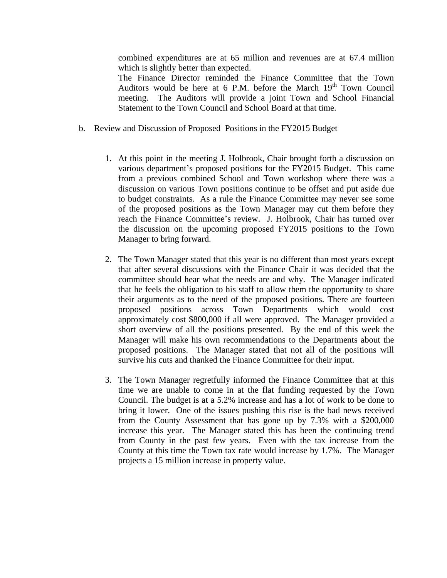combined expenditures are at 65 million and revenues are at 67.4 million which is slightly better than expected.

The Finance Director reminded the Finance Committee that the Town Auditors would be here at 6 P.M. before the March  $19<sup>th</sup>$  Town Council meeting. The Auditors will provide a joint Town and School Financial Statement to the Town Council and School Board at that time.

- b. Review and Discussion of Proposed Positions in the FY2015 Budget
	- 1. At this point in the meeting J. Holbrook, Chair brought forth a discussion on various department's proposed positions for the FY2015 Budget. This came from a previous combined School and Town workshop where there was a discussion on various Town positions continue to be offset and put aside due to budget constraints. As a rule the Finance Committee may never see some of the proposed positions as the Town Manager may cut them before they reach the Finance Committee's review. J. Holbrook, Chair has turned over the discussion on the upcoming proposed FY2015 positions to the Town Manager to bring forward.
	- 2. The Town Manager stated that this year is no different than most years except that after several discussions with the Finance Chair it was decided that the committee should hear what the needs are and why. The Manager indicated that he feels the obligation to his staff to allow them the opportunity to share their arguments as to the need of the proposed positions. There are fourteen proposed positions across Town Departments which would cost approximately cost \$800,000 if all were approved. The Manager provided a short overview of all the positions presented. By the end of this week the Manager will make his own recommendations to the Departments about the proposed positions. The Manager stated that not all of the positions will survive his cuts and thanked the Finance Committee for their input.
	- 3. The Town Manager regretfully informed the Finance Committee that at this time we are unable to come in at the flat funding requested by the Town Council. The budget is at a 5.2% increase and has a lot of work to be done to bring it lower. One of the issues pushing this rise is the bad news received from the County Assessment that has gone up by 7.3% with a \$200,000 increase this year. The Manager stated this has been the continuing trend from County in the past few years. Even with the tax increase from the County at this time the Town tax rate would increase by 1.7%. The Manager projects a 15 million increase in property value.